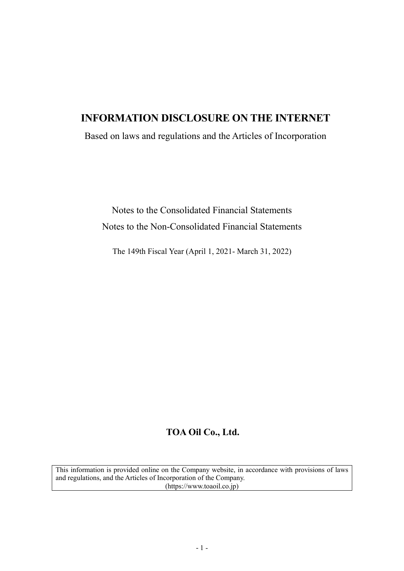# **INFORMATION DISCLOSURE ON THE INTERNET**

Based on laws and regulations and the Articles of Incorporation

Notes to the Consolidated Financial Statements Notes to the Non-Consolidated Financial Statements

The 149th Fiscal Year (April 1, 2021- March 31, 2022)

# **TOA Oil Co., Ltd.**

This information is provided online on the Company website, in accordance with provisions of laws and regulations, and the Articles of Incorporation of the Company. (https://www.toaoil.co.jp)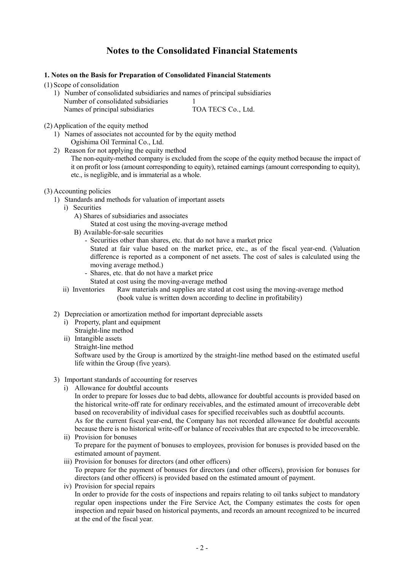# **Notes to the Consolidated Financial Statements**

## **1. Notes on the Basis for Preparation of Consolidated Financial Statements**

(1) Scope of consolidation

1) Number of consolidated subsidiaries and names of principal subsidiaries Number of consolidated subsidiaries 1 Names of principal subsidiaries TOA TECS Co., Ltd.

(2) Application of the equity method

- 1) Names of associates not accounted for by the equity method Ogishima Oil Terminal Co., Ltd.
- 2) Reason for not applying the equity method The non-equity-method company is excluded from the scope of the equity method because the impact of it on profit or loss (amount corresponding to equity), retained earnings (amount corresponding to equity), etc., is negligible, and is immaterial as a whole.
- (3) Accounting policies
	- 1) Standards and methods for valuation of important assets
		- i) Securities
			- A) Shares of subsidiaries and associates
				- Stated at cost using the moving-average method
			- B) Available-for-sale securities
				- Securities other than shares, etc. that do not have a market price
					- Stated at fair value based on the market price, etc., as of the fiscal year-end. (Valuation difference is reported as a component of net assets. The cost of sales is calculated using the moving average method.)
				- Shares, etc. that do not have a market price Stated at cost using the moving-average method
		- ii) Inventories Raw materials and supplies are stated at cost using the moving-average method (book value is written down according to decline in profitability)
	- 2) Depreciation or amortization method for important depreciable assets
		- i) Property, plant and equipment
		- Straight-line method
		- ii) Intangible assets Straight-line method
		-

Software used by the Group is amortized by the straight-line method based on the estimated useful life within the Group (five years).

- 3) Important standards of accounting for reserves
	- i) Allowance for doubtful accounts

In order to prepare for losses due to bad debts, allowance for doubtful accounts is provided based on the historical write-off rate for ordinary receivables, and the estimated amount of irrecoverable debt based on recoverability of individual cases for specified receivables such as doubtful accounts. As for the current fiscal year-end, the Company has not recorded allowance for doubtful accounts

- because there is no historical write-off or balance of receivables that are expected to be irrecoverable. ii) Provision for bonuses To prepare for the payment of bonuses to employees, provision for bonuses is provided based on the
- estimated amount of payment. iii) Provision for bonuses for directors (and other officers)
	- To prepare for the payment of bonuses for directors (and other officers), provision for bonuses for directors (and other officers) is provided based on the estimated amount of payment.
- iv) Provision for special repairs In order to provide for the costs of inspections and repairs relating to oil tanks subject to mandatory regular open inspections under the Fire Service Act, the Company estimates the costs for open inspection and repair based on historical payments, and records an amount recognized to be incurred at the end of the fiscal year.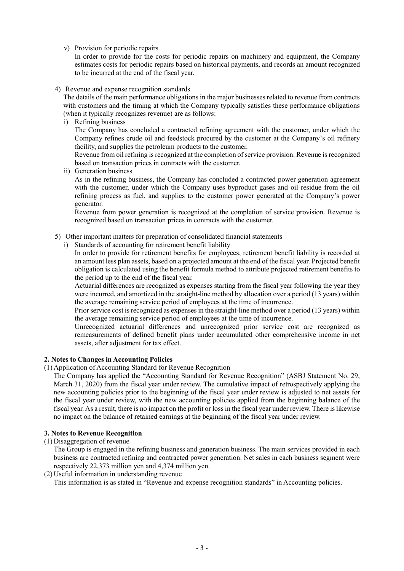v) Provision for periodic repairs

In order to provide for the costs for periodic repairs on machinery and equipment, the Company estimates costs for periodic repairs based on historical payments, and records an amount recognized to be incurred at the end of the fiscal year.

4) Revenue and expense recognition standards

The details of the main performance obligations in the major businesses related to revenue from contracts with customers and the timing at which the Company typically satisfies these performance obligations (when it typically recognizes revenue) are as follows:

i) Refining business

The Company has concluded a contracted refining agreement with the customer, under which the Company refines crude oil and feedstock procured by the customer at the Company's oil refinery facility, and supplies the petroleum products to the customer.

Revenue from oil refining is recognized at the completion of service provision. Revenue is recognized based on transaction prices in contracts with the customer.

ii) Generation business

As in the refining business, the Company has concluded a contracted power generation agreement with the customer, under which the Company uses byproduct gases and oil residue from the oil refining process as fuel, and supplies to the customer power generated at the Company's power generator.

Revenue from power generation is recognized at the completion of service provision. Revenue is recognized based on transaction prices in contracts with the customer.

- 5) Other important matters for preparation of consolidated financial statements
	- i) Standards of accounting for retirement benefit liability

In order to provide for retirement benefits for employees, retirement benefit liability is recorded at an amount less plan assets, based on a projected amount at the end of the fiscal year. Projected benefit obligation is calculated using the benefit formula method to attribute projected retirement benefits to the period up to the end of the fiscal year.

Actuarial differences are recognized as expenses starting from the fiscal year following the year they were incurred, and amortized in the straight-line method by allocation over a period (13 years) within the average remaining service period of employees at the time of incurrence.

Prior service cost is recognized as expenses in the straight-line method over a period (13 years) within the average remaining service period of employees at the time of incurrence.

Unrecognized actuarial differences and unrecognized prior service cost are recognized as remeasurements of defined benefit plans under accumulated other comprehensive income in net assets, after adjustment for tax effect.

## **2. Notes to Changes in Accounting Policies**

(1) Application of Accounting Standard for Revenue Recognition

The Company has applied the "Accounting Standard for Revenue Recognition" (ASBJ Statement No. 29, March 31, 2020) from the fiscal year under review. The cumulative impact of retrospectively applying the new accounting policies prior to the beginning of the fiscal year under review is adjusted to net assets for the fiscal year under review, with the new accounting policies applied from the beginning balance of the fiscal year. As a result, there is no impact on the profit or lossin the fiscal year under review. There is likewise no impact on the balance of retained earnings at the beginning of the fiscal year under review.

## **3. Notes to Revenue Recognition**

(1) Disaggregation of revenue

The Group is engaged in the refining business and generation business. The main services provided in each business are contracted refining and contracted power generation. Net sales in each business segment were respectively 22,373 million yen and 4,374 million yen.

(2) Useful information in understanding revenue

This information is as stated in "Revenue and expense recognition standards" in Accounting policies.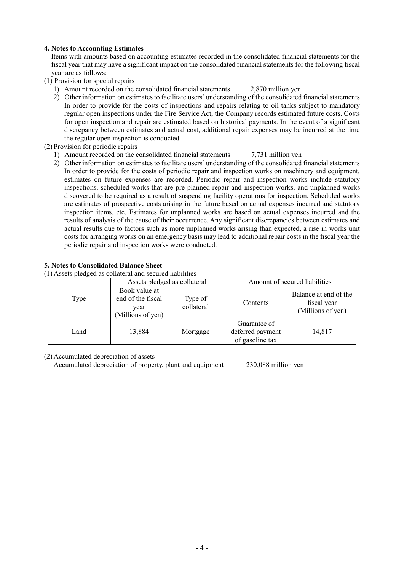## **4. Notes to Accounting Estimates**

Items with amounts based on accounting estimates recorded in the consolidated financial statements for the fiscal year that may have a significant impact on the consolidated financial statements for the following fiscal year are as follows:

- (1) Provision for special repairs
	- 1) Amount recorded on the consolidated financial statements 2,870 million yen
	- 2) Other information on estimates to facilitate users' understanding of the consolidated financial statements In order to provide for the costs of inspections and repairs relating to oil tanks subject to mandatory regular open inspections under the Fire Service Act, the Company records estimated future costs. Costs for open inspection and repair are estimated based on historical payments. In the event of a significant discrepancy between estimates and actual cost, additional repair expenses may be incurred at the time the regular open inspection is conducted.
- (2) Provision for periodic repairs
	- 1) Amount recorded on the consolidated financial statements 7,731 million yen
	- 2) Other information on estimates to facilitate users' understanding of the consolidated financial statements In order to provide for the costs of periodic repair and inspection works on machinery and equipment, estimates on future expenses are recorded. Periodic repair and inspection works include statutory inspections, scheduled works that are pre-planned repair and inspection works, and unplanned works discovered to be required as a result of suspending facility operations for inspection. Scheduled works are estimates of prospective costs arising in the future based on actual expenses incurred and statutory inspection items, etc. Estimates for unplanned works are based on actual expenses incurred and the results of analysis of the cause of their occurrence. Any significant discrepancies between estimates and actual results due to factors such as more unplanned works arising than expected, a rise in works unit costs for arranging works on an emergency basis may lead to additional repair costs in the fiscal year the periodic repair and inspection works were conducted.

## **5. Notes to Consolidated Balance Sheet**

(1) Assets pledged as collateral and secured liabilities

|      | Assets pledged as collateral                                    |                       | Amount of secured liabilities                       |                                                           |
|------|-----------------------------------------------------------------|-----------------------|-----------------------------------------------------|-----------------------------------------------------------|
| Type | Book value at<br>end of the fiscal<br>year<br>(Millions of yen) | Type of<br>collateral | Contents                                            | Balance at end of the<br>fiscal year<br>(Millions of yen) |
| Land | 13,884                                                          | Mortgage              | Guarantee of<br>deferred payment<br>of gasoline tax | 14,817                                                    |

(2) Accumulated depreciation of assets

Accumulated depreciation of property, plant and equipment 230,088 million yen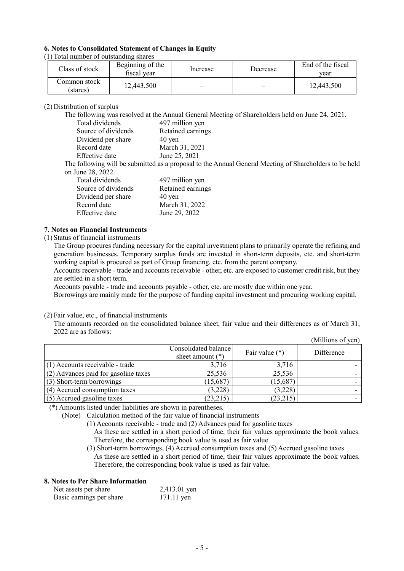## **6. Notes to Consolidated Statement of Changes in Equity**

(1) Total number of outstanding shares

| Class of stock            | Beginning of the<br>fiscal vear | Increase | Decrease                 | End of the fiscal<br>vear |
|---------------------------|---------------------------------|----------|--------------------------|---------------------------|
| Common stock-<br>(stares) | 12,443,500                      | $\equiv$ | $\overline{\phantom{0}}$ | 12,443,500                |

#### (2) Distribution of surplus

The following was resolved at the Annual General Meeting of Shareholders held on June 24, 2021.

| Total dividends     | 497 million yen     |
|---------------------|---------------------|
| Source of dividends | Retained earnings   |
| Dividend per share  | $40 \,\mathrm{ven}$ |
| Record date         | March 31, 2021      |
| Effective date      | June 25, 2021       |

The following will be submitted as a proposal to the Annual General Meeting of Shareholders to be held on June 28, 2022.

| Total dividends     | 497 million yen     |
|---------------------|---------------------|
| Source of dividends | Retained earnings   |
| Dividend per share  | $40 \,\mathrm{yen}$ |
| Record date         | March 31, 2022      |
| Effective date      | June 29, 2022       |

#### **7. Notes on Financial Instruments**

#### (1) Status of financial instruments

The Group procures funding necessary for the capital investment plans to primarily operate the refining and generation businesses. Temporary surplus funds are invested in short-term deposits, etc. and short-term working capital is procured as part of Group financing, etc. from the parent company.

Accounts receivable - trade and accounts receivable - other, etc. are exposed to customer credit risk, but they are settled in a short term.

Accounts payable - trade and accounts payable - other, etc. are mostly due within one year.

Borrowings are mainly made for the purpose of funding capital investment and procuring working capital.

#### (2) Fair value, etc., of financial instruments

The amounts recorded on the consolidated balance sheet, fair value and their differences as of March 31, 2022 are as follows: (Millions of yen)

|                                      |                                            |                  | $(10111110115 \text{ VI} \text{yCH})$ |
|--------------------------------------|--------------------------------------------|------------------|---------------------------------------|
|                                      | Consolidated balance<br>sheet amount $(*)$ | Fair value $(*)$ | Difference                            |
| $(1)$ Accounts receivable - trade    | 3,716                                      | 3,716            |                                       |
| (2) Advances paid for gasoline taxes | 25,536                                     | 25,536           |                                       |
| (3) Short-term borrowings            | (15,687)                                   | (15,687)         |                                       |
| (4) Accrued consumption taxes        | (3,228)                                    | (3,228)          |                                       |
| $(5)$ Accrued gasoline taxes         | (23,215)                                   | (23,215)         |                                       |

(\*) Amounts listed under liabilities are shown in parentheses.

(Note) Calculation method of the fair value of financial instruments

(1) Accounts receivable - trade and (2) Advances paid for gasoline taxes

As these are settled in a short period of time, their fair values approximate the book values. Therefore, the corresponding book value is used as fair value.

(3) Short-term borrowings, (4) Accrued consumption taxes and (5) Accrued gasoline taxes As these are settled in a short period of time, their fair values approximate the book values. Therefore, the corresponding book value is used as fair value.

### **8. Notes to Per Share Information**

| Net assets per share     | 2,413.01 yen |
|--------------------------|--------------|
| Basic earnings per share | 171.11 yen   |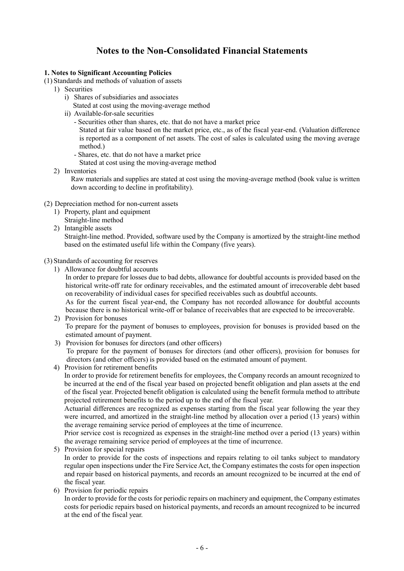# **Notes to the Non-Consolidated Financial Statements**

## **1. Notes to Significant Accounting Policies**

- (1) Standards and methods of valuation of assets
- 1) Securities
	- i) Shares of subsidiaries and associates
	- Stated at cost using the moving-average method
	- ii) Available-for-sale securities
		- Securities other than shares, etc. that do not have a market price

Stated at fair value based on the market price, etc., as of the fiscal year-end. (Valuation difference is reported as a component of net assets. The cost of sales is calculated using the moving average method.)

- Shares, etc. that do not have a market price
- Stated at cost using the moving-average method
- 2) Inventories

Raw materials and supplies are stated at cost using the moving-average method (book value is written down according to decline in profitability).

- (2) Depreciation method for non-current assets
	- 1) Property, plant and equipment Straight-line method
	- 2) Intangible assets

Straight-line method. Provided, software used by the Company is amortized by the straight-line method based on the estimated useful life within the Company (five years).

(3) Standards of accounting for reserves

1) Allowance for doubtful accounts

In order to prepare for losses due to bad debts, allowance for doubtful accounts is provided based on the historical write-off rate for ordinary receivables, and the estimated amount of irrecoverable debt based on recoverability of individual cases for specified receivables such as doubtful accounts.

As for the current fiscal year-end, the Company has not recorded allowance for doubtful accounts because there is no historical write-off or balance of receivables that are expected to be irrecoverable. 2) Provision for bonuses

- To prepare for the payment of bonuses to employees, provision for bonuses is provided based on the estimated amount of payment.
- 3) Provision for bonuses for directors (and other officers)

To prepare for the payment of bonuses for directors (and other officers), provision for bonuses for directors (and other officers) is provided based on the estimated amount of payment.

4) Provision for retirement benefits

In order to provide for retirement benefits for employees, the Company records an amount recognized to be incurred at the end of the fiscal year based on projected benefit obligation and plan assets at the end of the fiscal year. Projected benefit obligation is calculated using the benefit formula method to attribute projected retirement benefits to the period up to the end of the fiscal year.

Actuarial differences are recognized as expenses starting from the fiscal year following the year they were incurred, and amortized in the straight-line method by allocation over a period (13 years) within the average remaining service period of employees at the time of incurrence.

Prior service cost is recognized as expenses in the straight-line method over a period (13 years) within the average remaining service period of employees at the time of incurrence.

- 5) Provision for special repairs In order to provide for the costs of inspections and repairs relating to oil tanks subject to mandatory regular open inspections under the Fire Service Act, the Company estimates the costs for open inspection and repair based on historical payments, and records an amount recognized to be incurred at the end of the fiscal year.
- 6) Provision for periodic repairs

In order to provide for the costs for periodic repairs on machinery and equipment, the Company estimates costs for periodic repairs based on historical payments, and records an amount recognized to be incurred at the end of the fiscal year.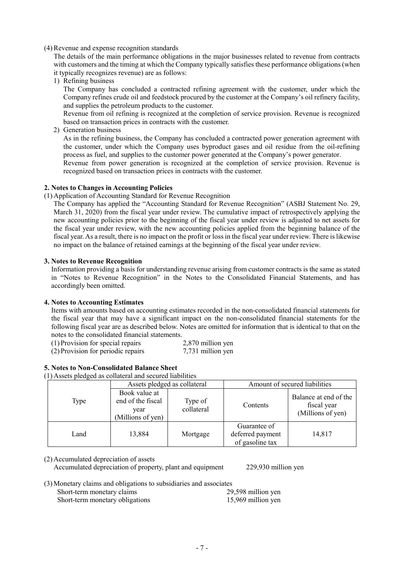#### (4)Revenue and expense recognition standards

The details of the main performance obligations in the major businesses related to revenue from contracts with customers and the timing at which the Company typically satisfies these performance obligations (when it typically recognizes revenue) are as follows:

1) Refining business

The Company has concluded a contracted refining agreement with the customer, under which the Company refines crude oil and feedstock procured by the customer at the Company's oil refinery facility, and supplies the petroleum products to the customer.

Revenue from oil refining is recognized at the completion of service provision. Revenue is recognized based on transaction prices in contracts with the customer.

2) Generation business

As in the refining business, the Company has concluded a contracted power generation agreement with the customer, under which the Company uses byproduct gases and oil residue from the oil-refining process as fuel, and supplies to the customer power generated at the Company's power generator.

Revenue from power generation is recognized at the completion of service provision. Revenue is recognized based on transaction prices in contracts with the customer.

#### **2. Notes to Changes in Accounting Policies**

#### (1) Application of Accounting Standard for Revenue Recognition

The Company has applied the "Accounting Standard for Revenue Recognition" (ASBJ Statement No. 29, March 31, 2020) from the fiscal year under review. The cumulative impact of retrospectively applying the new accounting policies prior to the beginning of the fiscal year under review is adjusted to net assets for the fiscal year under review, with the new accounting policies applied from the beginning balance of the fiscal year. As a result, there is no impact on the profit or lossin the fiscal year under review. There is likewise no impact on the balance of retained earnings at the beginning of the fiscal year under review.

#### **3. Notes to Revenue Recognition**

Information providing a basis for understanding revenue arising from customer contracts is the same as stated in "Notes to Revenue Recognition" in the Notes to the Consolidated Financial Statements, and has accordingly been omitted.

## **4. Notes to Accounting Estimates**

Items with amounts based on accounting estimates recorded in the non-consolidated financial statements for the fiscal year that may have a significant impact on the non-consolidated financial statements for the following fiscal year are as described below. Notes are omitted for information that is identical to that on the notes to the consolidated financial statements.

| (1) Provision for special repairs  | 2,870 million yen |
|------------------------------------|-------------------|
| (2) Provision for periodic repairs | 7,731 million yen |

## **5. Notes to Non-Consolidated Balance Sheet**

(1) Assets pledged as collateral and secured liabilities

| $\circ$ | Assets pledged as collateral                                    |                       | Amount of secured liabilities                       |                                                           |
|---------|-----------------------------------------------------------------|-----------------------|-----------------------------------------------------|-----------------------------------------------------------|
| Type    | Book value at<br>end of the fiscal<br>year<br>(Millions of yen) | Type of<br>collateral | Contents                                            | Balance at end of the<br>fiscal year<br>(Millions of yen) |
| Land    | 13,884                                                          | Mortgage              | Guarantee of<br>deferred payment<br>of gasoline tax | 14,817                                                    |

(2) Accumulated depreciation of assets Accumulated depreciation of property, plant and equipment 229,930 million yen

| (3) Monetary claims and obligations to subsidiaries and associates |                    |
|--------------------------------------------------------------------|--------------------|
| Short torm monotory alaims                                         | 20.50 <sup>0</sup> |

Short-term monetary claims 29,598 million yen Short-term monetary obligations 15,969 million yen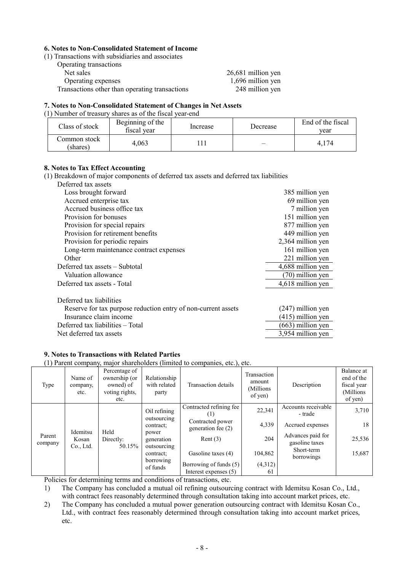#### **6. Notes to Non-Consolidated Statement of Income**

(1) Transactions with subsidiaries and associates

| Operating transactions                         |                    |
|------------------------------------------------|--------------------|
| Net sales                                      | 26,681 million yen |
| Operating expenses                             | 1,696 million yen  |
| Transactions other than operating transactions | 248 million yen    |

### **7. Notes to Non-Consolidated Statement of Changes in Net Assets**

## (1) Number of treasury shares as of the fiscal year-end

| Class of stock           | Beginning of the<br>fiscal year | Increase | Decrease | End of the fiscal<br>vear |
|--------------------------|---------------------------------|----------|----------|---------------------------|
| Common stock<br>(shares) | 4,063                           |          |          | 4.174                     |

# **8. Notes to Tax Effect Accounting**

(1) Breakdown of major components of deferred tax assets and deferred tax liabilities

| Deferred tax assets                                           |                     |
|---------------------------------------------------------------|---------------------|
| Loss brought forward                                          | 385 million yen     |
| Accrued enterprise tax                                        | 69 million yen      |
| Accrued business office tax                                   | 7 million yen       |
| Provision for bonuses                                         | 151 million yen     |
| Provision for special repairs                                 | 877 million yen     |
| Provision for retirement benefits                             | 449 million yen     |
| Provision for periodic repairs                                | 2,364 million yen   |
| Long-term maintenance contract expenses                       | 161 million yen     |
| Other                                                         | 221 million yen     |
| Deferred tax assets - Subtotal                                | 4,688 million yen   |
| Valuation allowance                                           | (70) million yen    |
| Deferred tax assets - Total                                   | 4,618 million yen   |
|                                                               |                     |
| Deferred tax liabilities                                      |                     |
| Reserve for tax purpose reduction entry of non-current assets | $(247)$ million yen |
| Insurance claim income                                        | $(415)$ million yen |
| Deferred tax liabilities – Total                              | $(663)$ million yen |
| Net deferred tax assets                                       | 3,954 million yen   |

## **9. Notes to Transactions with Related Parties**

(1) Parent company, major shareholders (limited to companies, etc.), etc.

| Type              | Name of<br>company,<br>etc.    | Percentage of<br>ownership (or<br>owned) of<br>voting rights,<br>etc. | Relationship<br>with related<br>party                                                                                | Transaction details                    | Transaction<br>amount<br>(Millions<br>of yen) | Description                         | Balance at<br>end of the<br>fiscal year<br>(Millions)<br>of yen) |
|-------------------|--------------------------------|-----------------------------------------------------------------------|----------------------------------------------------------------------------------------------------------------------|----------------------------------------|-----------------------------------------------|-------------------------------------|------------------------------------------------------------------|
| Parent<br>company | Idemitsu<br>Kosan<br>Co., Ltd. | Held<br>Directly:<br>50.15%                                           | Oil refining<br>outsourcing<br>contract;<br>power<br>generation<br>outsourcing<br>contract:<br>borrowing<br>of funds | Contracted refining fee<br>(1)         | 22,341                                        | Accounts receivable<br>- trade      | 3,710                                                            |
|                   |                                |                                                                       |                                                                                                                      | Contracted power<br>generation fee (2) | 4,339                                         | Accrued expenses                    | 18                                                               |
|                   |                                |                                                                       |                                                                                                                      | Rent $(3)$                             | 204                                           | Advances paid for<br>gasoline taxes | 25,536                                                           |
|                   |                                |                                                                       |                                                                                                                      | Gasoline taxes (4)                     | 104,862                                       | Short-term<br>borrowings            | 15,687                                                           |
|                   |                                |                                                                       |                                                                                                                      | Borrowing of funds (5)                 | (4,312)                                       |                                     |                                                                  |
|                   |                                |                                                                       |                                                                                                                      | Interest expenses (5)                  | 61                                            |                                     |                                                                  |

Policies for determining terms and conditions of transactions, etc.

1) The Company has concluded a mutual oil refining outsourcing contract with Idemitsu Kosan Co., Ltd., with contract fees reasonably determined through consultation taking into account market prices, etc.

2) The Company has concluded a mutual power generation outsourcing contract with Idemitsu Kosan Co., Ltd., with contract fees reasonably determined through consultation taking into account market prices, etc.